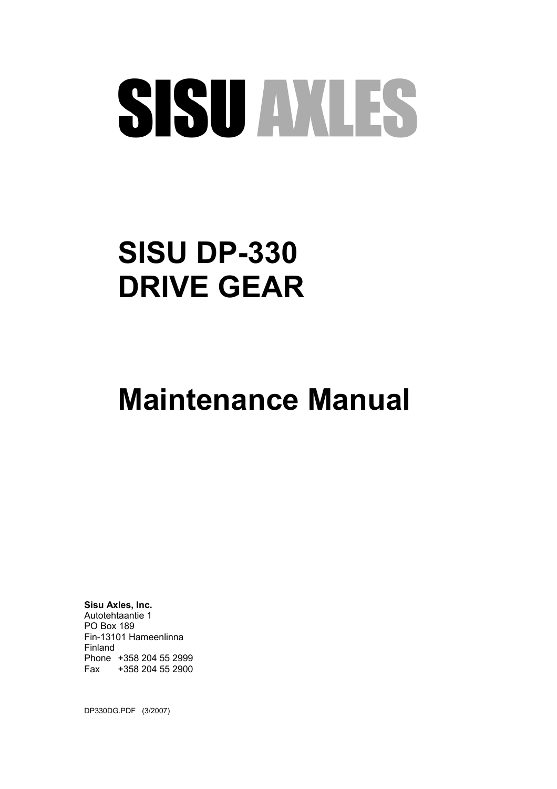# SISU AXLES

## **SISU DP-330 DRIVE GEAR**

## **Maintenance Manual**

**Sisu Axles, Inc.** Autotehtaantie 1 PO Box 189 Fin-13101 Hameenlinna Finland Phone +358 204 55 2999 Fax +358 204 55 2900

DP330DG.PDF (3/2007)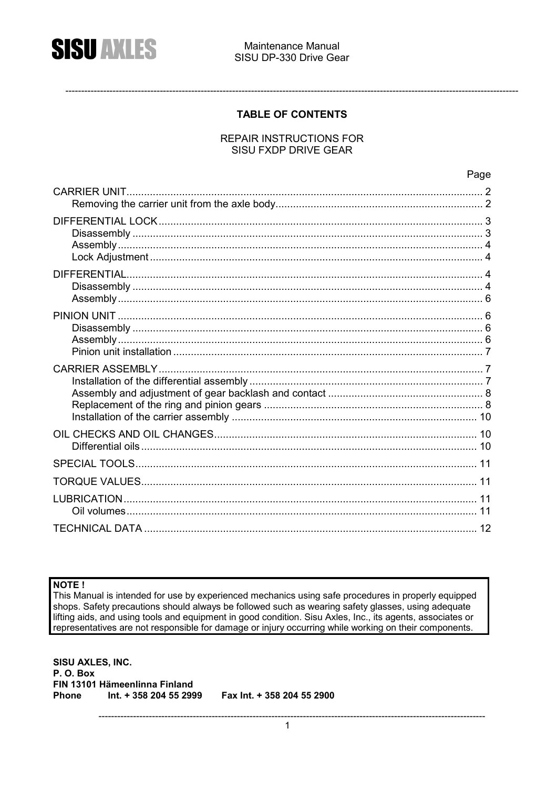

#### **TABLE OF CONTENTS**

#### **REPAIR INSTRUCTIONS FOR SISU FXDP DRIVE GEAR**

#### NOTE !

This Manual is intended for use by experienced mechanics using safe procedures in properly equipped shops. Safety precautions should always be followed such as wearing safety glasses, using adequate lifting aids, and using tools and equipment in good condition. Sisu Axles, Inc., its agents, associates or representatives are not responsible for damage or injury occurring while working on their components.

**SISU AXLES, INC.** P.O. Box FIN 13101 Hämeenlinna Finland **Phone** Int. + 358 204 55 2999 Fax Int. + 358 204 55 2900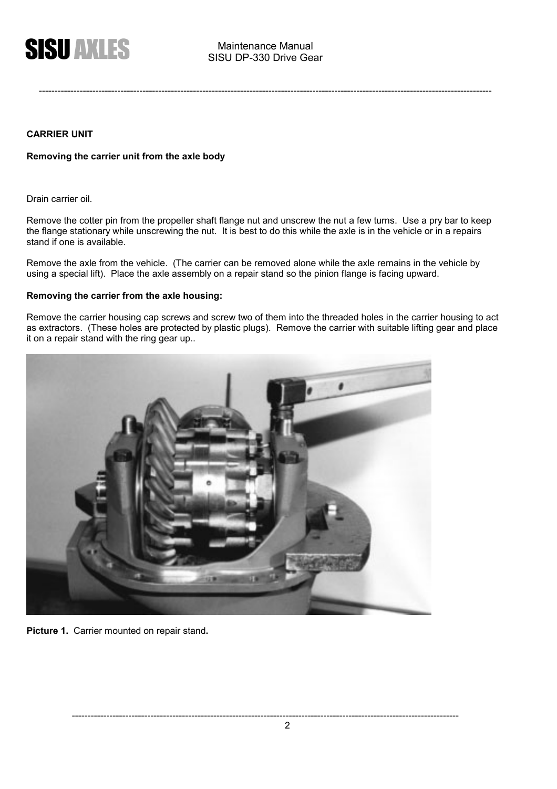

#### **CARRIER UNIT**

#### **Removing the carrier unit from the axle body**

Drain carrier oil.

Remove the cotter pin from the propeller shaft flange nut and unscrew the nut a few turns. Use a pry bar to keep the flange stationary while unscrewing the nut. It is best to do this while the axle is in the vehicle or in a repairs stand if one is available.

Remove the axle from the vehicle. (The carrier can be removed alone while the axle remains in the vehicle by using a special lift). Place the axle assembly on a repair stand so the pinion flange is facing upward.

#### **Removing the carrier from the axle housing:**

Remove the carrier housing cap screws and screw two of them into the threaded holes in the carrier housing to act as extractors. (These holes are protected by plastic plugs). Remove the carrier with suitable lifting gear and place it on a repair stand with the ring gear up..



**Picture 1.** Carrier mounted on repair stand**.**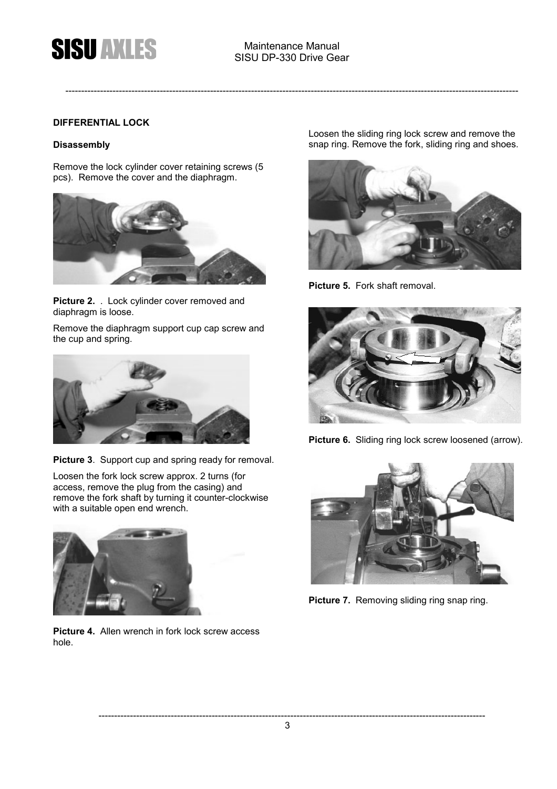#### **DIFFERENTIAL LOCK**

#### **Disassembly**

Remove the lock cylinder cover retaining screws (5 pcs). Remove the cover and the diaphragm.



**Picture 2.** . Lock cylinder cover removed and diaphragm is loose.

Remove the diaphragm support cup cap screw and the cup and spring.



**Picture 3**. Support cup and spring ready for removal.

Loosen the fork lock screw approx. 2 turns (for access, remove the plug from the casing) and remove the fork shaft by turning it counter-clockwise with a suitable open end wrench.



**Picture 4.** Allen wrench in fork lock screw access hole.

Loosen the sliding ring lock screw and remove the snap ring. Remove the fork, sliding ring and shoes.



**Picture 5.** Fork shaft removal.



**Picture 6.** Sliding ring lock screw loosened (arrow).



**Picture 7.** Removing sliding ring snap ring.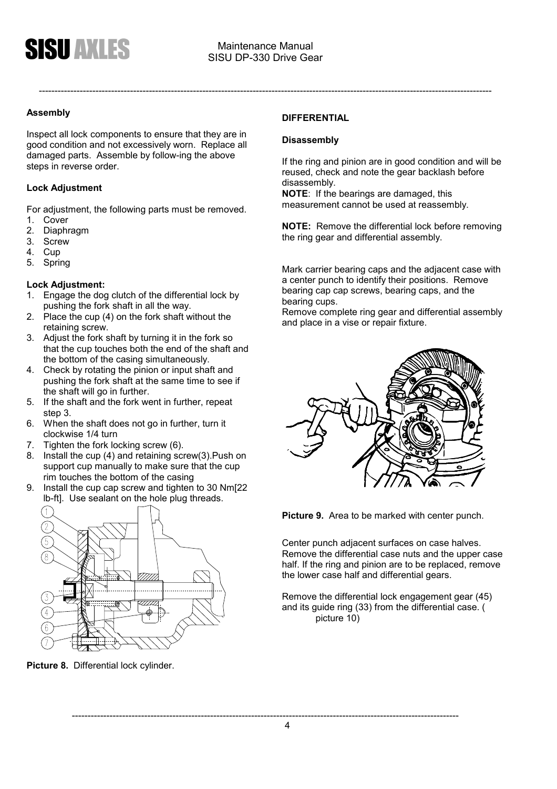

#### **Assembly**

Inspect all lock components to ensure that they are in good condition and not excessively worn. Replace all damaged parts. Assemble by follow-ing the above steps in reverse order.

#### **Lock Adjustment**

For adjustment, the following parts must be removed.

- 1. Cover
- 2. Diaphragm
- 3. Screw
- 4. Cup
- 5. Spring

#### **Lock Adjustment:**

- 1. Engage the dog clutch of the differential lock by pushing the fork shaft in all the way.
- 2. Place the cup (4) on the fork shaft without the retaining screw.
- 3. Adjust the fork shaft by turning it in the fork so that the cup touches both the end of the shaft and the bottom of the casing simultaneously.
- 4. Check by rotating the pinion or input shaft and pushing the fork shaft at the same time to see if the shaft will go in further.
- 5. If the shaft and the fork went in further, repeat step 3.
- 6. When the shaft does not go in further, turn it clockwise 1/4 turn
- 7. Tighten the fork locking screw (6).
- 8. Install the cup (4) and retaining screw(3).Push on support cup manually to make sure that the cup rim touches the bottom of the casing
- 9. Install the cup cap screw and tighten to 30 Nm[22 lb-ft]. Use sealant on the hole plug threads.



**Picture 8.** Differential lock cylinder.

#### **DIFFERENTIAL**

#### **Disassembly**

If the ring and pinion are in good condition and will be reused, check and note the gear backlash before disassembly.

**NOTE**: If the bearings are damaged, this measurement cannot be used at reassembly.

**NOTE:** Remove the differential lock before removing the ring gear and differential assembly.

Mark carrier bearing caps and the adjacent case with a center punch to identify their positions. Remove bearing cap cap screws, bearing caps, and the bearing cups.

Remove complete ring gear and differential assembly and place in a vise or repair fixture.



**Picture 9.** Area to be marked with center punch.

Center punch adjacent surfaces on case halves. Remove the differential case nuts and the upper case half. If the ring and pinion are to be replaced, remove the lower case half and differential gears.

Remove the differential lock engagement gear (45) and its guide ring (33) from the differential case. ( picture 10)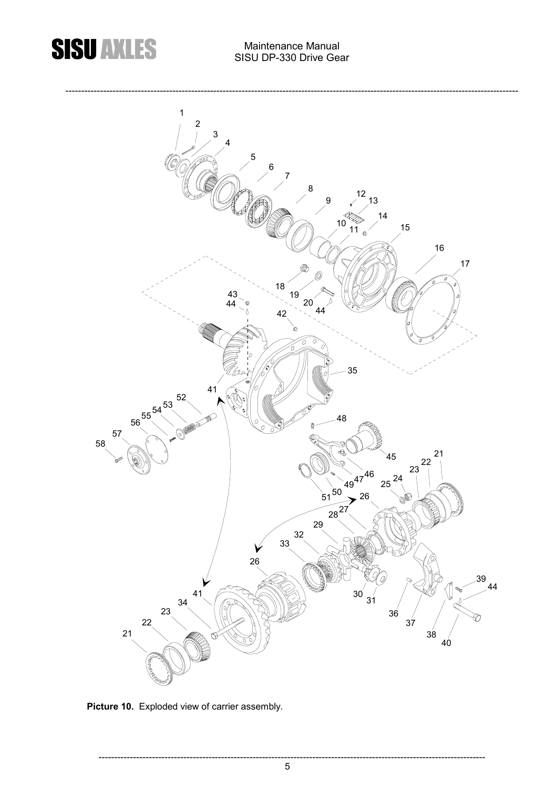### **SISU AXLES**

#### Maintenance Manual SISU DP-330 Drive Gear



**Picture 10.** Exploded view of carrier assembly.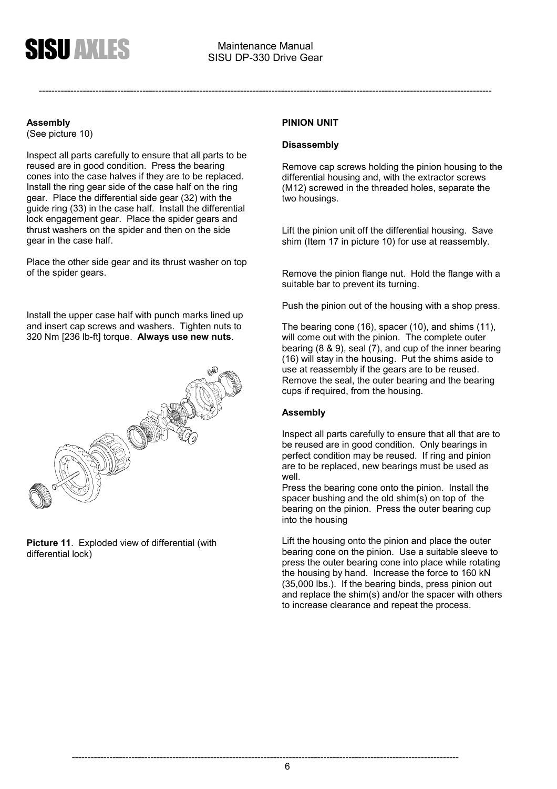#### **Assembly**

(See picture 10)

Inspect all parts carefully to ensure that all parts to be reused are in good condition. Press the bearing cones into the case halves if they are to be replaced. Install the ring gear side of the case half on the ring gear. Place the differential side gear (32) with the guide ring (33) in the case half. Install the differential lock engagement gear. Place the spider gears and thrust washers on the spider and then on the side gear in the case half.

Place the other side gear and its thrust washer on top of the spider gears.

Install the upper case half with punch marks lined up and insert cap screws and washers. Tighten nuts to 320 Nm [236 lb-ft] torque. **Always use new nuts**.



**Picture 11**. Exploded view of differential (with differential lock)

#### **PINION UNIT**

#### **Disassembly**

Remove cap screws holding the pinion housing to the differential housing and, with the extractor screws (M12) screwed in the threaded holes, separate the two housings.

Lift the pinion unit off the differential housing. Save shim (Item 17 in picture 10) for use at reassembly.

Remove the pinion flange nut. Hold the flange with a suitable bar to prevent its turning.

Push the pinion out of the housing with a shop press.

The bearing cone (16), spacer (10), and shims (11), will come out with the pinion. The complete outer bearing (8 & 9), seal (7), and cup of the inner bearing (16) will stay in the housing. Put the shims aside to use at reassembly if the gears are to be reused. Remove the seal, the outer bearing and the bearing cups if required, from the housing.

#### **Assembly**

Inspect all parts carefully to ensure that all that are to be reused are in good condition. Only bearings in perfect condition may be reused. If ring and pinion are to be replaced, new bearings must be used as well.

Press the bearing cone onto the pinion. Install the spacer bushing and the old shim(s) on top of the bearing on the pinion. Press the outer bearing cup into the housing

Lift the housing onto the pinion and place the outer bearing cone on the pinion. Use a suitable sleeve to press the outer bearing cone into place while rotating the housing by hand. Increase the force to 160 kN (35,000 lbs.). If the bearing binds, press pinion out and replace the shim(s) and/or the spacer with others to increase clearance and repeat the process.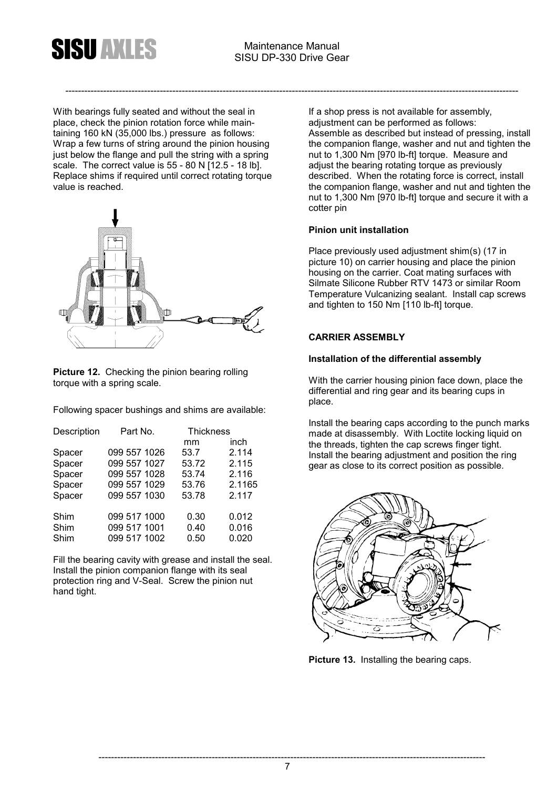

With bearings fully seated and without the seal in place, check the pinion rotation force while maintaining 160 kN (35,000 lbs.) pressure as follows: Wrap a few turns of string around the pinion housing just below the flange and pull the string with a spring scale. The correct value is 55 - 80 N [12.5 - 18 lb]. Replace shims if required until correct rotating torque value is reached.



**Picture 12.** Checking the pinion bearing rolling torque with a spring scale.

Following spacer bushings and shims are available:

| Description | Part No.     | <b>Thickness</b> |        |
|-------------|--------------|------------------|--------|
|             |              | mm               | inch   |
| Spacer      | 099 557 1026 | 53.7             | 2.114  |
| Spacer      | 099 557 1027 | 53.72            | 2.115  |
| Spacer      | 099 557 1028 | 53.74            | 2.116  |
| Spacer      | 099 557 1029 | 53.76            | 2.1165 |
| Spacer      | 099 557 1030 | 53.78            | 2.117  |
| Shim        | 099 517 1000 | 0.30             | 0.012  |
| Shim        | 099 517 1001 | 0.40             | 0.016  |
| Shim        | 099 517 1002 | 0.50             | 0.020  |

Fill the bearing cavity with grease and install the seal. Install the pinion companion flange with its seal protection ring and V-Seal. Screw the pinion nut hand tight.

If a shop press is not available for assembly, adjustment can be performed as follows: Assemble as described but instead of pressing, install the companion flange, washer and nut and tighten the nut to 1,300 Nm [970 lb-ft] torque. Measure and adjust the bearing rotating torque as previously described. When the rotating force is correct, install the companion flange, washer and nut and tighten the nut to 1,300 Nm [970 lb-ft] torque and secure it with a cotter pin

#### **Pinion unit installation**

Place previously used adjustment shim(s) (17 in picture 10) on carrier housing and place the pinion housing on the carrier. Coat mating surfaces with Silmate Silicone Rubber RTV 1473 or similar Room Temperature Vulcanizing sealant. Install cap screws and tighten to 150 Nm [110 lb-ft] torque.

#### **CARRIER ASSEMBLY**

#### **Installation of the differential assembly**

With the carrier housing pinion face down, place the differential and ring gear and its bearing cups in place.

Install the bearing caps according to the punch marks made at disassembly. With Loctite locking liquid on the threads, tighten the cap screws finger tight. Install the bearing adjustment and position the ring gear as close to its correct position as possible.



**Picture 13.** Installing the bearing caps.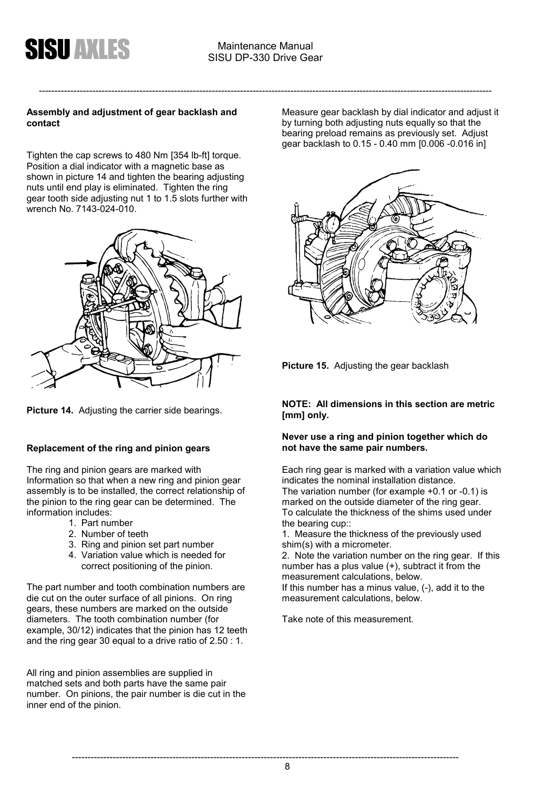

#### **Assembly and adjustment of gear backlash and contact**

Tighten the cap screws to 480 Nm [354 lb-ft] torque. Position a dial indicator with a magnetic base as shown in picture 14 and tighten the bearing adjusting nuts until end play is eliminated. Tighten the ring gear tooth side adjusting nut 1 to 1.5 slots further with wrench No. 7143-024-010.



**Picture 14.** Adjusting the carrier side bearings.

#### **Replacement of the ring and pinion gears**

The ring and pinion gears are marked with Information so that when a new ring and pinion gear assembly is to be installed, the correct relationship of the pinion to the ring gear can be determined. The information includes:

- 1. Part number
- 2. Number of teeth
- 3. Ring and pinion set part number
- 4. Variation value which is needed for correct positioning of the pinion.

The part number and tooth combination numbers are die cut on the outer surface of all pinions. On ring gears, these numbers are marked on the outside diameters. The tooth combination number (for example, 30/12) indicates that the pinion has 12 teeth and the ring gear 30 equal to a drive ratio of 2.50 : 1.

All ring and pinion assemblies are supplied in matched sets and both parts have the same pair number. On pinions, the pair number is die cut in the inner end of the pinion.

Measure gear backlash by dial indicator and adjust it by turning both adjusting nuts equally so that the bearing preload remains as previously set. Adjust gear backlash to 0.15 - 0.40 mm [0.006 -0.016 in]



**Picture 15.** Adjusting the gear backlash

#### **NOTE: All dimensions in this section are metric [mm] only.**

#### **Never use a ring and pinion together which do not have the same pair numbers.**

Each ring gear is marked with a variation value which indicates the nominal installation distance. The variation number (for example +0.1 or -0.1) is marked on the outside diameter of the ring gear. To calculate the thickness of the shims used under the bearing cup::

1. Measure the thickness of the previously used shim(s) with a micrometer.

2. Note the variation number on the ring gear. If this number has a plus value (+), subtract it from the measurement calculations, below.

If this number has a minus value, (-), add it to the measurement calculations, below.

Take note of this measurement.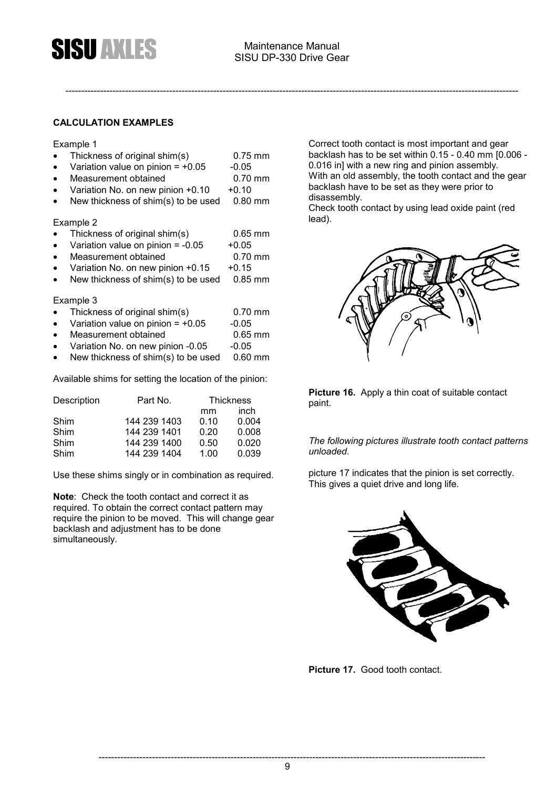

#### **CALCULATION EXAMPLES**

#### Example 1

- Thickness of original shim(s) 0.75 mm
- Variation value on pinion =  $+0.05$  -0.05
- Measurement obtained 0.70 mm
- Variation No. on new pinion  $+0.10 +0.10$
- New thickness of shim(s) to be used 0.80 mm

#### Example 2

- Thickness of original shim(s) 0.65 mm
- Variation value on pinion =  $-0.05 +0.05$
- Measurement obtained 6.70 mm
- Variation No. on new pinion  $+0.15 +0.15$
- New thickness of shim(s) to be used 0.85 mm

#### Example 3

- Thickness of original shim(s) 0.70 mm
- Variation value on pinion =  $+0.05$  -0.05
- Measurement obtained 0.65 mm<br>Variation No. on new pinion -0.05 -0.05
- Variation No. on new pinion -0.05 -0.05
- New thickness of shim(s) to be used  $0.60$  mm

Available shims for setting the location of the pinion:

| Description | Part No.     |      | <b>Thickness</b> |  |
|-------------|--------------|------|------------------|--|
|             |              | mm   | inch             |  |
| Shim        | 144 239 1403 | 0.10 | 0.004            |  |
| Shim        | 144 239 1401 | 0.20 | 0.008            |  |
| Shim        | 144 239 1400 | 0.50 | 0.020            |  |
| Shim        | 144 239 1404 | 1.00 | 0.039            |  |

Use these shims singly or in combination as required.

**Note**: Check the tooth contact and correct it as required. To obtain the correct contact pattern may require the pinion to be moved. This will change gear backlash and adjustment has to be done simultaneously.

Correct tooth contact is most important and gear backlash has to be set within 0.15 - 0.40 mm [0.006 - 0.016 in] with a new ring and pinion assembly. With an old assembly, the tooth contact and the gear backlash have to be set as they were prior to disassembly.

Check tooth contact by using lead oxide paint (red lead).



**Picture 16.** Apply a thin coat of suitable contact paint.

#### *The following pictures illustrate tooth contact patterns unloaded*.

picture 17 indicates that the pinion is set correctly. This gives a quiet drive and long life.



**Picture 17.** Good tooth contact.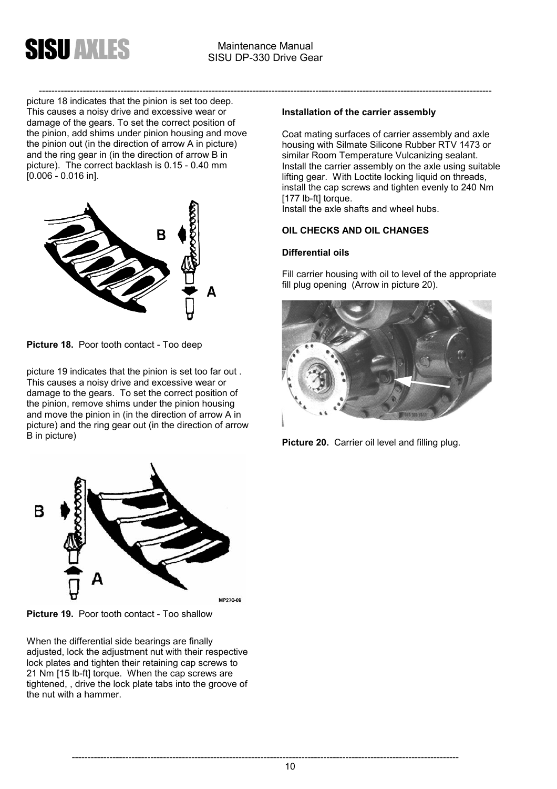

----------------------------------------------------------------------------------------------------------------------------------------------- picture 18 indicates that the pinion is set too deep. This causes a noisy drive and excessive wear or damage of the gears. To set the correct position of the pinion, add shims under pinion housing and move the pinion out (in the direction of arrow A in picture) and the ring gear in (in the direction of arrow B in picture). The correct backlash is 0.15 - 0.40 mm [0.006 - 0.016 in].



**Picture 18.** Poor tooth contact - Too deep

picture 19 indicates that the pinion is set too far out . This causes a noisy drive and excessive wear or damage to the gears. To set the correct position of the pinion, remove shims under the pinion housing and move the pinion in (in the direction of arrow A in picture) and the ring gear out (in the direction of arrow B in picture)

#### **Installation of the carrier assembly**

Coat mating surfaces of carrier assembly and axle housing with Silmate Silicone Rubber RTV 1473 or similar Room Temperature Vulcanizing sealant. Install the carrier assembly on the axle using suitable lifting gear. With Loctite locking liquid on threads, install the cap screws and tighten evenly to 240 Nm [177 lb-ft] torque.

Install the axle shafts and wheel hubs.

#### **OIL CHECKS AND OIL CHANGES**

#### **Differential oils**

Fill carrier housing with oil to level of the appropriate fill plug opening (Arrow in picture 20).







**Picture 19.** Poor tooth contact - Too shallow

When the differential side bearings are finally adjusted, lock the adjustment nut with their respective lock plates and tighten their retaining cap screws to 21 Nm [15 lb-ft] torque. When the cap screws are tightened, , drive the lock plate tabs into the groove of the nut with a hammer.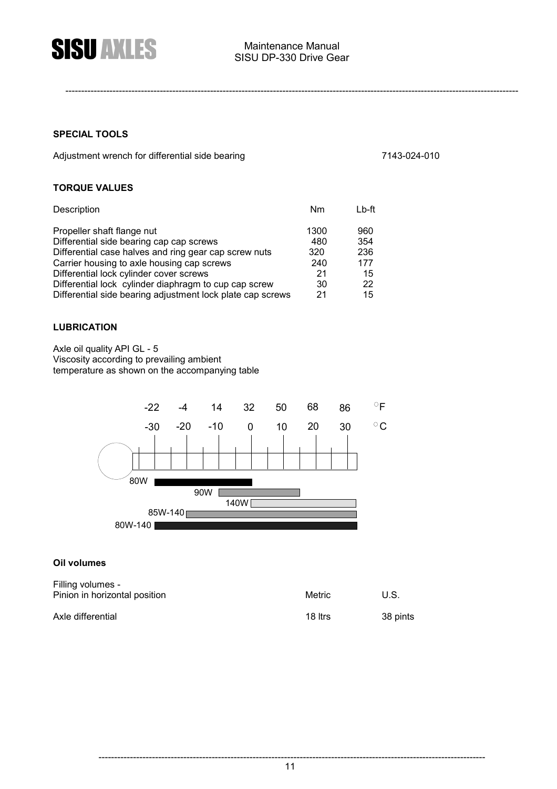

#### **SPECIAL TOOLS**

Adjustment wrench for differential side bearing 7143-024-010

#### **TORQUE VALUES**

| Description                                                                                                                                                                                                                                                                       | Nm                                    | $Lb$ -ft                             |
|-----------------------------------------------------------------------------------------------------------------------------------------------------------------------------------------------------------------------------------------------------------------------------------|---------------------------------------|--------------------------------------|
| Propeller shaft flange nut<br>Differential side bearing cap cap screws<br>Differential case halves and ring gear cap screw nuts<br>Carrier housing to axle housing cap screws<br>Differential lock cylinder cover screws<br>Differential lock cylinder diaphragm to cup cap screw | 1300<br>480<br>320<br>240<br>21<br>30 | 960<br>354<br>236<br>177<br>15<br>22 |
| Differential side bearing adjustment lock plate cap screws                                                                                                                                                                                                                        | 21                                    | 15                                   |

#### **LUBRICATION**

Axle oil quality API GL - 5 Viscosity according to prevailing ambient temperature as shown on the accompanying table



#### **Oil volumes**

| Filling volumes -<br>Pinion in horizontal position | Metric  | U.S.     |
|----------------------------------------------------|---------|----------|
| Axle differential                                  | 18 Itrs | 38 pints |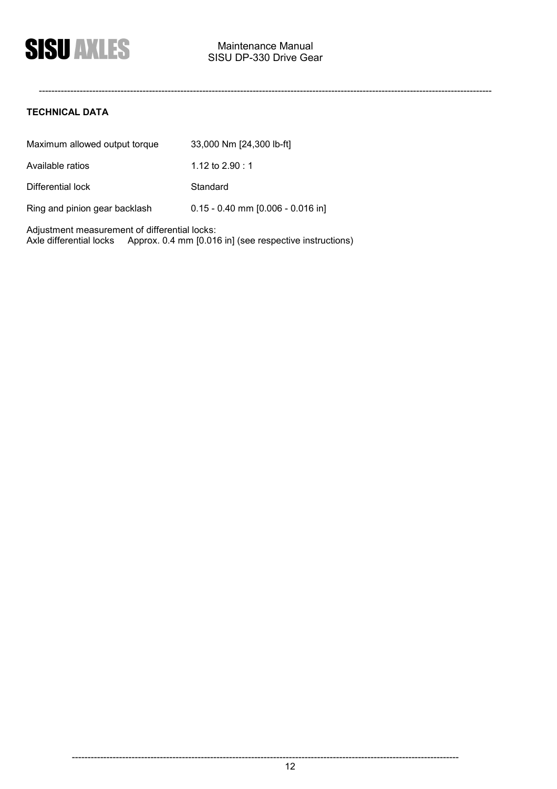#### **TECHNICAL DATA**

| Maximum allowed output torque | 33,000 Nm [24,300 lb-ft]            |
|-------------------------------|-------------------------------------|
| Available ratios              | 1.12 to $2.90 : 1$                  |
| Differential lock             | Standard                            |
| Ring and pinion gear backlash | $0.15 - 0.40$ mm [0.006 - 0.016 in] |

Adjustment measurement of differential locks: Axle differential locks Approx. 0.4 mm [0.016 in] (see respective instructions)